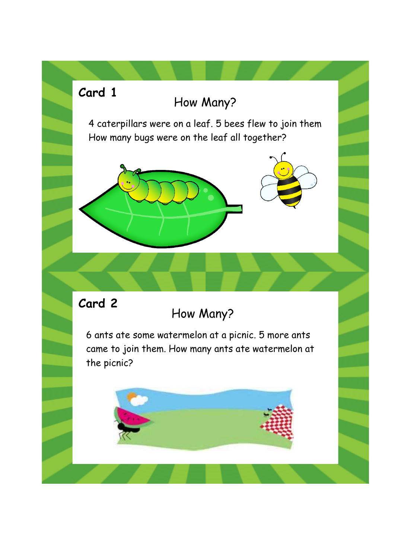# How Many? 4 caterpillars were on a leaf. 5 bees flew to join them How many bugs were on the leaf all together? How Many? 6 ants ate some watermelon at a picnic. 5 more ants came to join them. How many ants ate watermelon at the picnic? **Card 1 Card 2**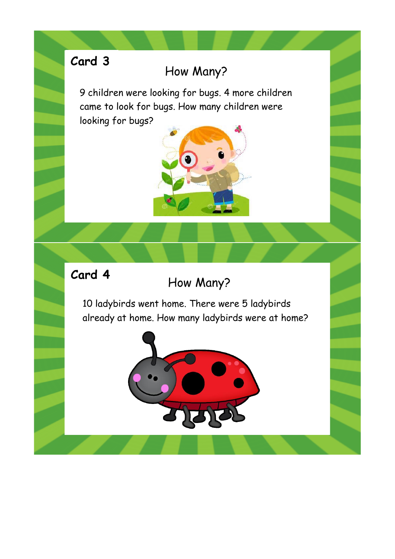## How Many?

9 children were looking for bugs. 4 more children came to look for bugs. How many children were looking for bugs?



#### **Card 4**

#### How Many?

10 ladybirds went home. There were 5 ladybirds already at home. How many ladybirds were at home?

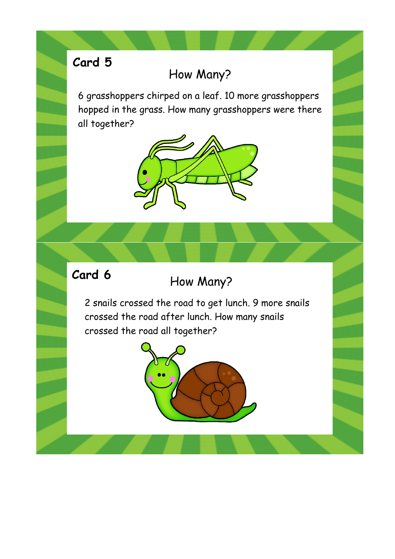#### How Many?

6 grasshoppers chirped on a leaf. 10 more grasshoppers hopped in the grass. How many grasshoppers were there all together?



#### **Card 6**

## How Many?

2 snails crossed the road to get lunch. 9 more snails crossed the road after lunch. How many snails crossed the road all together?

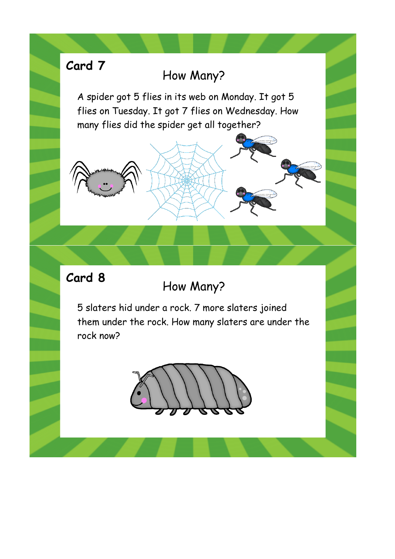#### How Many?

A spider got 5 flies in its web on Monday. It got 5 flies on Tuesday. It got 7 flies on Wednesday. How many flies did the spider get all together?



How Many?

5 slaters hid under a rock. 7 more slaters joined them under the rock. How many slaters are under the rock now?